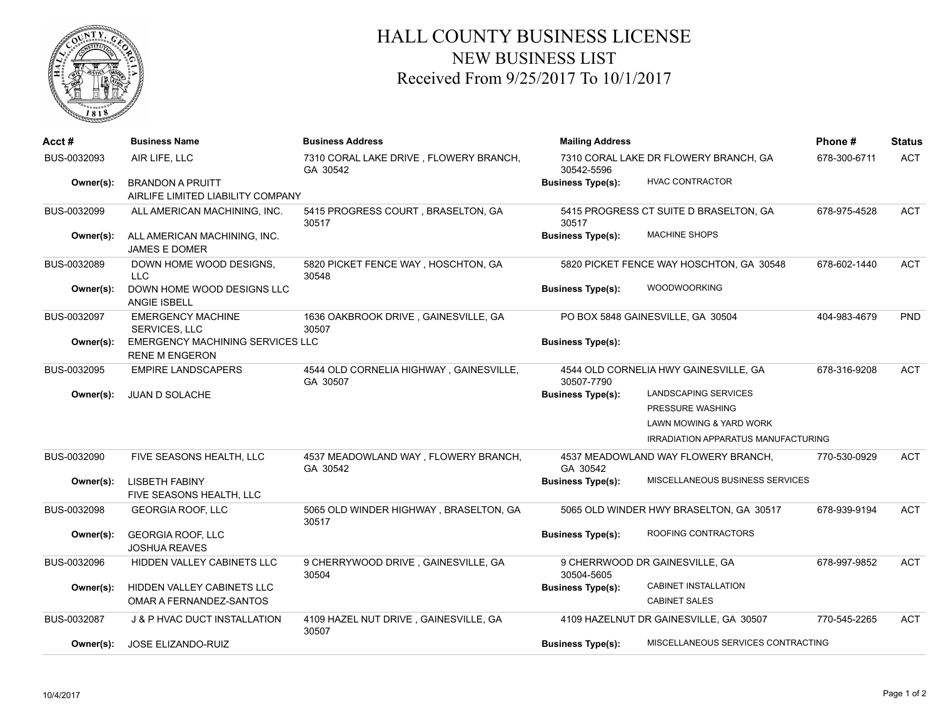

## HALL COUNTY BUSINESS LICENSE NEW BUSINESS LIST Received From 9/25/2017 To 10/1/2017

| Acct #      | <b>Business Name</b>                                             | <b>Business Address</b>                             | <b>Mailing Address</b>   |                                            | Phone#       | <b>Status</b> |
|-------------|------------------------------------------------------------------|-----------------------------------------------------|--------------------------|--------------------------------------------|--------------|---------------|
| BUS-0032093 | AIR LIFE, LLC                                                    | 7310 CORAL LAKE DRIVE, FLOWERY BRANCH,<br>GA 30542  | 30542-5596               | 7310 CORAL LAKE DR FLOWERY BRANCH, GA      | 678-300-6711 | <b>ACT</b>    |
| Owner(s):   | <b>BRANDON A PRUITT</b>                                          |                                                     | <b>Business Type(s):</b> | HVAC CONTRACTOR                            |              |               |
|             | AIRLIFE LIMITED LIABILITY COMPANY                                |                                                     |                          |                                            |              |               |
| BUS-0032099 | ALL AMERICAN MACHINING, INC.                                     | 5415 PROGRESS COURT, BRASELTON, GA<br>30517         | 30517                    | 5415 PROGRESS CT SUITE D BRASELTON, GA     | 678-975-4528 | <b>ACT</b>    |
| Owner(s):   | ALL AMERICAN MACHINING, INC.<br><b>JAMES E DOMER</b>             |                                                     | <b>Business Type(s):</b> | <b>MACHINE SHOPS</b>                       |              |               |
| BUS-0032089 | DOWN HOME WOOD DESIGNS,<br>LLC.                                  | 5820 PICKET FENCE WAY, HOSCHTON, GA<br>30548        |                          | 5820 PICKET FENCE WAY HOSCHTON, GA 30548   | 678-602-1440 | <b>ACT</b>    |
| Owner(s):   | DOWN HOME WOOD DESIGNS LLC<br><b>ANGIE ISBELL</b>                |                                                     | <b>Business Type(s):</b> | <b>WOODWOORKING</b>                        |              |               |
| BUS-0032097 | <b>EMERGENCY MACHINE</b><br><b>SERVICES, LLC</b>                 | 1636 OAKBROOK DRIVE, GAINESVILLE, GA<br>30507       |                          | PO BOX 5848 GAINESVILLE, GA 30504          | 404-983-4679 | PND           |
| Owner(s):   | <b>EMERGENCY MACHINING SERVICES LLC</b><br><b>RENE M ENGERON</b> |                                                     | <b>Business Type(s):</b> |                                            |              |               |
| BUS-0032095 | <b>EMPIRE LANDSCAPERS</b>                                        | 4544 OLD CORNELIA HIGHWAY, GAINESVILLE,<br>GA 30507 | 30507-7790               | 4544 OLD CORNELIA HWY GAINESVILLE, GA      | 678-316-9208 | <b>ACT</b>    |
| Owner(s):   | <b>JUAN D SOLACHE</b>                                            |                                                     | <b>Business Type(s):</b> | <b>LANDSCAPING SERVICES</b>                |              |               |
|             |                                                                  |                                                     |                          | PRESSURE WASHING                           |              |               |
|             |                                                                  |                                                     |                          | LAWN MOWING & YARD WORK                    |              |               |
|             |                                                                  |                                                     |                          | <b>IRRADIATION APPARATUS MANUFACTURING</b> |              |               |
| BUS-0032090 | FIVE SEASONS HEALTH, LLC                                         | 4537 MEADOWLAND WAY, FLOWERY BRANCH,<br>GA 30542    | GA 30542                 | 4537 MEADOWLAND WAY FLOWERY BRANCH,        | 770-530-0929 | <b>ACT</b>    |
| Owner(s):   | <b>LISBETH FABINY</b><br>FIVE SEASONS HEALTH, LLC                |                                                     | <b>Business Type(s):</b> | <b>MISCELLANEOUS BUSINESS SERVICES</b>     |              |               |
| BUS-0032098 | <b>GEORGIA ROOF, LLC</b>                                         | 5065 OLD WINDER HIGHWAY, BRASELTON, GA<br>30517     |                          | 5065 OLD WINDER HWY BRASELTON, GA 30517    | 678-939-9194 | <b>ACT</b>    |
| Owner(s):   | <b>GEORGIA ROOF, LLC</b><br><b>JOSHUA REAVES</b>                 |                                                     | <b>Business Type(s):</b> | ROOFING CONTRACTORS                        |              |               |
| BUS-0032096 | HIDDEN VALLEY CABINETS LLC                                       | 9 CHERRYWOOD DRIVE, GAINESVILLE, GA<br>30504        | 30504-5605               | 9 CHERRWOOD DR GAINESVILLE, GA             | 678-997-9852 | <b>ACT</b>    |
| Owner(s):   | HIDDEN VALLEY CABINETS LLC                                       |                                                     | <b>Business Type(s):</b> | <b>CABINET INSTALLATION</b>                |              |               |
|             | OMAR A FERNANDEZ-SANTOS                                          |                                                     |                          | <b>CABINET SALES</b>                       |              |               |
| BUS-0032087 | J & P HVAC DUCT INSTALLATION                                     | 4109 HAZEL NUT DRIVE, GAINESVILLE, GA<br>30507      |                          | 4109 HAZELNUT DR GAINESVILLE, GA 30507     | 770-545-2265 | <b>ACT</b>    |
| Owner(s):   | JOSE ELIZANDO-RUIZ                                               |                                                     | <b>Business Type(s):</b> | MISCELLANEOUS SERVICES CONTRACTING         |              |               |
|             |                                                                  |                                                     |                          |                                            |              |               |